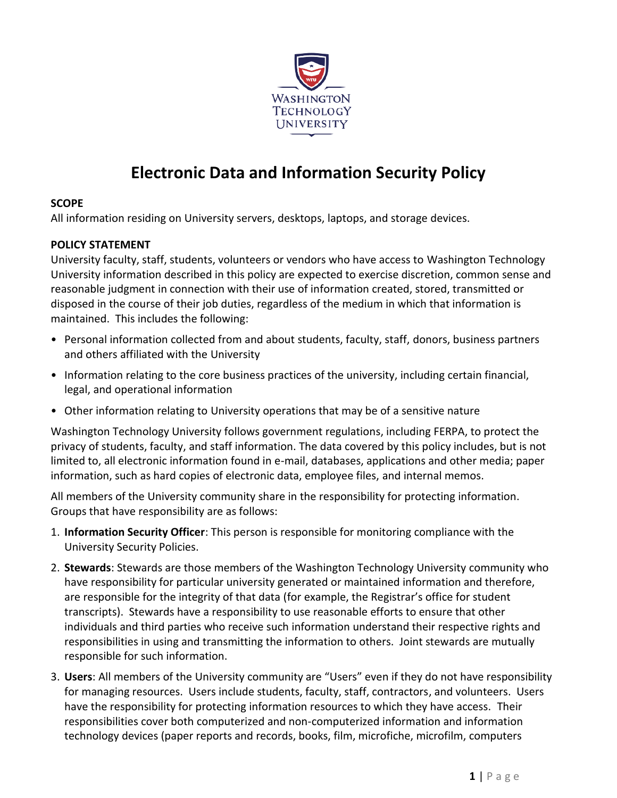

# **Electronic Data and Information Security Policy**

#### **SCOPE**

All information residing on University servers, desktops, laptops, and storage devices.

#### **POLICY STATEMENT**

University faculty, staff, students, volunteers or vendors who have access to Washington Technology University information described in this policy are expected to exercise discretion, common sense and reasonable judgment in connection with their use of information created, stored, transmitted or disposed in the course of their job duties, regardless of the medium in which that information is maintained. This includes the following:

- Personal information collected from and about students, faculty, staff, donors, business partners and others affiliated with the University
- Information relating to the core business practices of the university, including certain financial, legal, and operational information
- Other information relating to University operations that may be of a sensitive nature

Washington Technology University follows government regulations, including FERPA, to protect the privacy of students, faculty, and staff information. The data covered by this policy includes, but is not limited to, all electronic information found in e-mail, databases, applications and other media; paper information, such as hard copies of electronic data, employee files, and internal memos.

All members of the University community share in the responsibility for protecting information. Groups that have responsibility are as follows:

- 1. **Information Security Officer**: This person is responsible for monitoring compliance with the University Security Policies.
- 2. **Stewards**: Stewards are those members of the Washington Technology University community who have responsibility for particular university generated or maintained information and therefore, are responsible for the integrity of that data (for example, the Registrar's office for student transcripts). Stewards have a responsibility to use reasonable efforts to ensure that other individuals and third parties who receive such information understand their respective rights and responsibilities in using and transmitting the information to others. Joint stewards are mutually responsible for such information.
- 3. **Users**: All members of the University community are "Users" even if they do not have responsibility for managing resources. Users include students, faculty, staff, contractors, and volunteers. Users have the responsibility for protecting information resources to which they have access. Their responsibilities cover both computerized and non-computerized information and information technology devices (paper reports and records, books, film, microfiche, microfilm, computers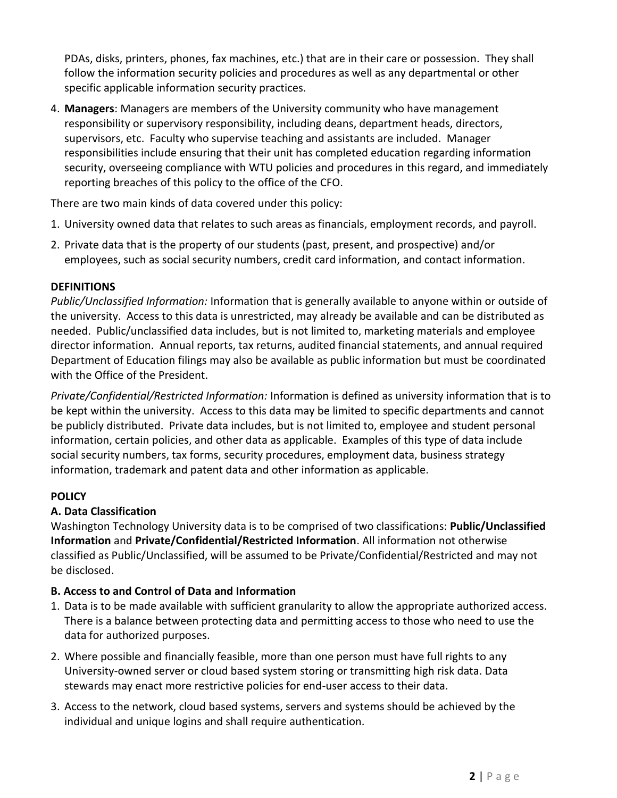PDAs, disks, printers, phones, fax machines, etc.) that are in their care or possession. They shall follow the information security policies and procedures as well as any departmental or other specific applicable information security practices.

4. **Managers**: Managers are members of the University community who have management responsibility or supervisory responsibility, including deans, department heads, directors, supervisors, etc. Faculty who supervise teaching and assistants are included. Manager responsibilities include ensuring that their unit has completed education regarding information security, overseeing compliance with WTU policies and procedures in this regard, and immediately reporting breaches of this policy to the office of the CFO.

There are two main kinds of data covered under this policy:

- 1. University owned data that relates to such areas as financials, employment records, and payroll.
- 2. Private data that is the property of our students (past, present, and prospective) and/or employees, such as social security numbers, credit card information, and contact information.

#### **DEFINITIONS**

*Public/Unclassified Information:* Information that is generally available to anyone within or outside of the university. Access to this data is unrestricted, may already be available and can be distributed as needed. Public/unclassified data includes, but is not limited to, marketing materials and employee director information. Annual reports, tax returns, audited financial statements, and annual required Department of Education filings may also be available as public information but must be coordinated with the Office of the President.

*Private/Confidential/Restricted Information:* Information is defined as university information that is to be kept within the university. Access to this data may be limited to specific departments and cannot be publicly distributed. Private data includes, but is not limited to, employee and student personal information, certain policies, and other data as applicable. Examples of this type of data include social security numbers, tax forms, security procedures, employment data, business strategy information, trademark and patent data and other information as applicable.

## **POLICY**

## **A. Data Classification**

Washington Technology University data is to be comprised of two classifications: **Public/Unclassified Information** and **Private/Confidential/Restricted Information**. All information not otherwise classified as Public/Unclassified, will be assumed to be Private/Confidential/Restricted and may not be disclosed.

## **B. Access to and Control of Data and Information**

- 1. Data is to be made available with sufficient granularity to allow the appropriate authorized access. There is a balance between protecting data and permitting access to those who need to use the data for authorized purposes.
- 2. Where possible and financially feasible, more than one person must have full rights to any University-owned server or cloud based system storing or transmitting high risk data. Data stewards may enact more restrictive policies for end-user access to their data.
- 3. Access to the network, cloud based systems, servers and systems should be achieved by the individual and unique logins and shall require authentication.